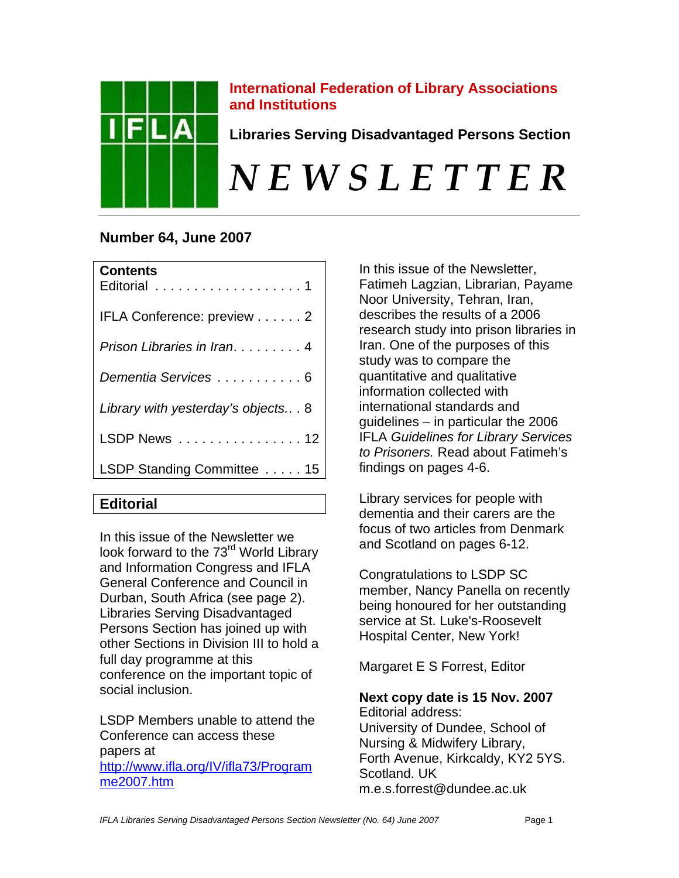

# **International Federation of Library Associations and Institutions**

**Libraries Serving Disadvantaged Persons Section** 

# *N E W S L E T T E R*

# **Number 64, June 2007**

| IFLA Conference: preview 2<br>Prison Libraries in Iran4<br>Dementia Services 6<br>Library with yesterday's objects 8<br>LSDP News 12<br>LSDP Standing Committee  15 | <b>Contents</b><br>Editorial 1 |
|---------------------------------------------------------------------------------------------------------------------------------------------------------------------|--------------------------------|
|                                                                                                                                                                     |                                |
|                                                                                                                                                                     |                                |
|                                                                                                                                                                     |                                |
|                                                                                                                                                                     |                                |
|                                                                                                                                                                     |                                |
|                                                                                                                                                                     |                                |

# **Editorial**

In this issue of the Newsletter we look forward to the 73<sup>rd</sup> World Library and Information Congress and IFLA General Conference and Council in Durban, South Africa (see page 2). Libraries Serving Disadvantaged Persons Section has joined up with other Sections in Division III to hold a full day programme at this conference on the important topic of social inclusion.

LSDP Members unable to attend the Conference can access these papers at http://www.ifla.org/IV/ifla73/Program me2007.htm

In this issue of the Newsletter, Fatimeh Lagzian, Librarian, Payame Noor University, Tehran, Iran, describes the results of a 2006 research study into prison libraries in Iran. One of the purposes of this study was to compare the quantitative and qualitative information collected with international standards and guidelines – in particular the 2006 IFLA *Guidelines for Library Services to Prisoners.* Read about Fatimeh's findings on pages 4-6.

Library services for people with dementia and their carers are the focus of two articles from Denmark and Scotland on pages 6-12.

Congratulations to LSDP SC member, Nancy Panella on recently being honoured for her outstanding service at St. Luke's-Roosevelt Hospital Center, New York!

Margaret E S Forrest, Editor

**Next copy date is 15 Nov. 2007**  Editorial address: University of Dundee, School of Nursing & Midwifery Library, Forth Avenue, Kirkcaldy, KY2 5YS. Scotland. UK m.e.s.forrest@dundee.ac.uk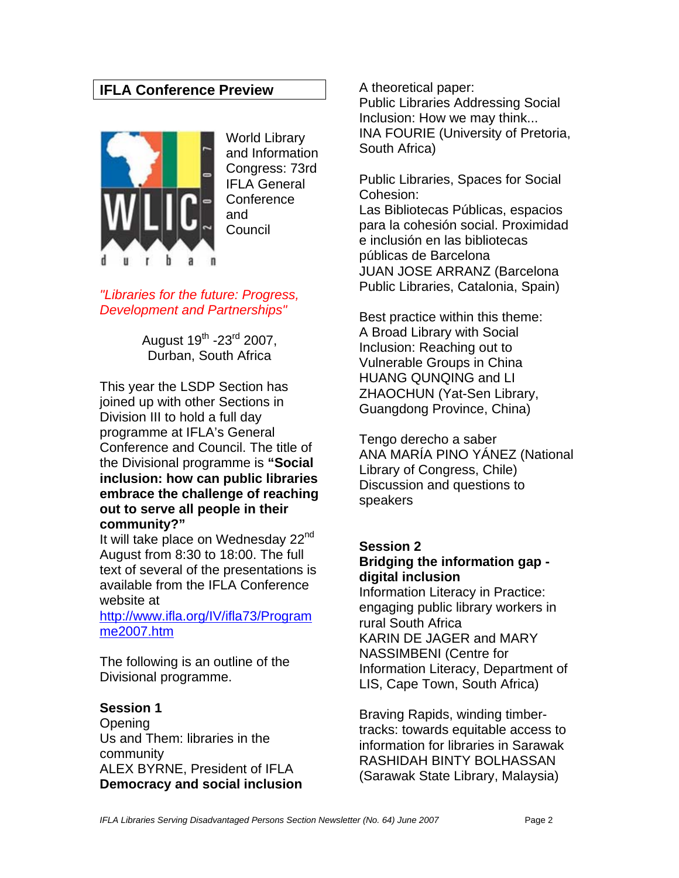# **IFLA Conference Preview**



World Library and Information Congress: 73rd IFLA General **Conference** and **Council** 

*"Libraries for the future: Progress, Development and Partnerships"* 

> August  $19^{th}$  -23 $^{rd}$  2007, Durban, South Africa

This year the LSDP Section has joined up with other Sections in Division III to hold a full day programme at IFLA's General Conference and Council. The title of the Divisional programme is **"Social inclusion: how can public libraries embrace the challenge of reaching out to serve all people in their community?"**

It will take place on Wednesday  $22<sup>nd</sup>$ August from 8:30 to 18:00. The full text of several of the presentations is available from the IFLA Conference website at

http://www.ifla.org/IV/ifla73/Program me2007.htm

The following is an outline of the Divisional programme.

#### **Session 1**

**Opening** Us and Them: libraries in the community ALEX BYRNE, President of IFLA **Democracy and social inclusion**  A theoretical paper: Public Libraries Addressing Social Inclusion: How we may think... INA FOURIE (University of Pretoria, South Africa)

Public Libraries, Spaces for Social Cohesion:

Las Bibliotecas Públicas, espacios para la cohesión social. Proximidad e inclusión en las bibliotecas públicas de Barcelona JUAN JOSE ARRANZ (Barcelona Public Libraries, Catalonia, Spain)

Best practice within this theme: A Broad Library with Social Inclusion: Reaching out to Vulnerable Groups in China HUANG QUNQING and LI ZHAOCHUN (Yat-Sen Library, Guangdong Province, China)

Tengo derecho a saber ANA MARÍA PINO YÁNEZ (National Library of Congress, Chile) Discussion and questions to speakers

**Session 2 Bridging the information gap digital inclusion** 

Information Literacy in Practice: engaging public library workers in rural South Africa KARIN DE JAGER and MARY NASSIMBENI (Centre for Information Literacy, Department of LIS, Cape Town, South Africa)

Braving Rapids, winding timbertracks: towards equitable access to information for libraries in Sarawak RASHIDAH BINTY BOLHASSAN (Sarawak State Library, Malaysia)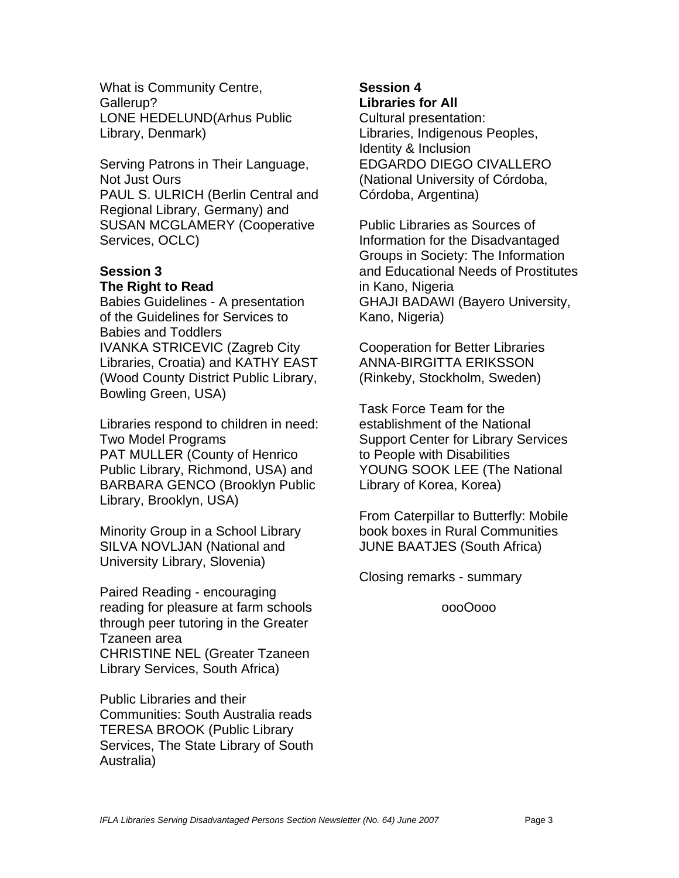What is Community Centre, Gallerup? LONE HEDELUND(Arhus Public Library, Denmark)

Serving Patrons in Their Language, Not Just Ours PAUL S. ULRICH (Berlin Central and Regional Library, Germany) and SUSAN MCGLAMERY (Cooperative Services, OCLC)

#### **Session 3 The Right to Read**

Babies Guidelines - A presentation of the Guidelines for Services to Babies and Toddlers IVANKA STRICEVIC (Zagreb City Libraries, Croatia) and KATHY EAST (Wood County District Public Library, Bowling Green, USA)

Libraries respond to children in need: Two Model Programs PAT MULLER (County of Henrico Public Library, Richmond, USA) and BARBARA GENCO (Brooklyn Public Library, Brooklyn, USA)

Minority Group in a School Library SILVA NOVLJAN (National and University Library, Slovenia)

Paired Reading - encouraging reading for pleasure at farm schools through peer tutoring in the Greater Tzaneen area CHRISTINE NEL (Greater Tzaneen Library Services, South Africa)

Public Libraries and their Communities: South Australia reads TERESA BROOK (Public Library Services, The State Library of South Australia)

#### **Session 4 Libraries for All**

Cultural presentation: Libraries, Indigenous Peoples, Identity & Inclusion EDGARDO DIEGO CIVALLERO (National University of Córdoba, Córdoba, Argentina)

Public Libraries as Sources of Information for the Disadvantaged Groups in Society: The Information and Educational Needs of Prostitutes in Kano, Nigeria GHAJI BADAWI (Bayero University, Kano, Nigeria)

Cooperation for Better Libraries ANNA-BIRGITTA ERIKSSON (Rinkeby, Stockholm, Sweden)

Task Force Team for the establishment of the National Support Center for Library Services to People with Disabilities YOUNG SOOK LEE (The National Library of Korea, Korea)

From Caterpillar to Butterfly: Mobile book boxes in Rural Communities JUNE BAATJES (South Africa)

Closing remarks - summary

oooOooo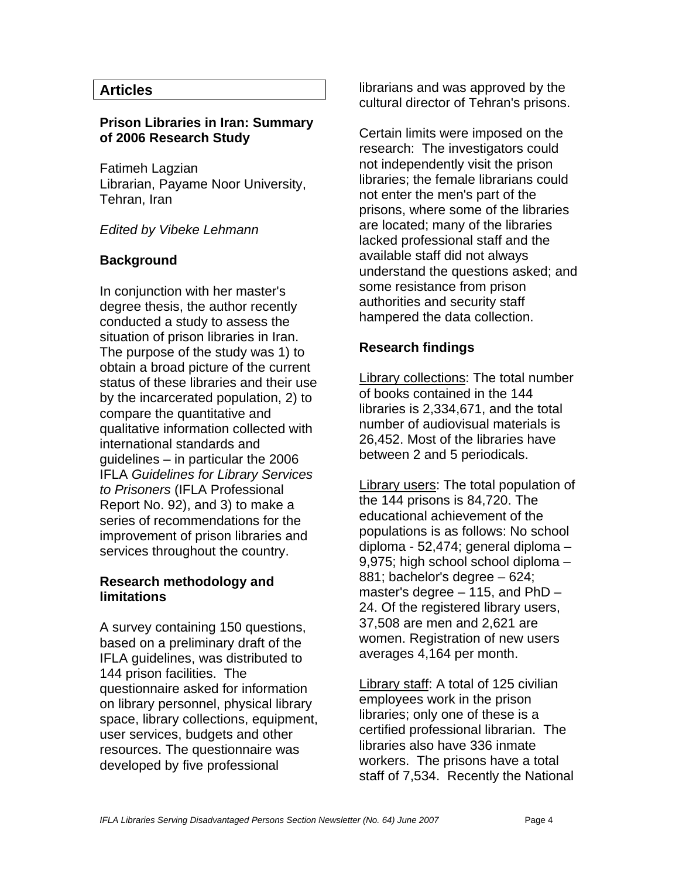# **Articles**

#### **Prison Libraries in Iran: Summary of 2006 Research Study**

Fatimeh Lagzian Librarian, Payame Noor University, Tehran, Iran

#### *Edited by Vibeke Lehmann*

#### **Background**

In conjunction with her master's degree thesis, the author recently conducted a study to assess the situation of prison libraries in Iran. The purpose of the study was 1) to obtain a broad picture of the current status of these libraries and their use by the incarcerated population, 2) to compare the quantitative and qualitative information collected with international standards and guidelines – in particular the 2006 IFLA *Guidelines for Library Services to Prisoners* (IFLA Professional Report No. 92), and 3) to make a series of recommendations for the improvement of prison libraries and services throughout the country.

#### **Research methodology and limitations**

A survey containing 150 questions, based on a preliminary draft of the IFLA guidelines, was distributed to 144 prison facilities. The questionnaire asked for information on library personnel, physical library space, library collections, equipment, user services, budgets and other resources. The questionnaire was developed by five professional

librarians and was approved by the cultural director of Tehran's prisons.

Certain limits were imposed on the research: The investigators could not independently visit the prison libraries; the female librarians could not enter the men's part of the prisons, where some of the libraries are located; many of the libraries lacked professional staff and the available staff did not always understand the questions asked; and some resistance from prison authorities and security staff hampered the data collection.

# **Research findings**

Library collections: The total number of books contained in the 144 libraries is 2,334,671, and the total number of audiovisual materials is 26,452. Most of the libraries have between 2 and 5 periodicals.

Library users: The total population of the 144 prisons is 84,720. The educational achievement of the populations is as follows: No school diploma - 52,474; general diploma – 9,975; high school school diploma – 881; bachelor's degree – 624; master's degree – 115, and PhD – 24. Of the registered library users, 37,508 are men and 2,621 are women. Registration of new users averages 4,164 per month.

Library staff: A total of 125 civilian employees work in the prison libraries; only one of these is a certified professional librarian. The libraries also have 336 inmate workers. The prisons have a total staff of 7,534. Recently the National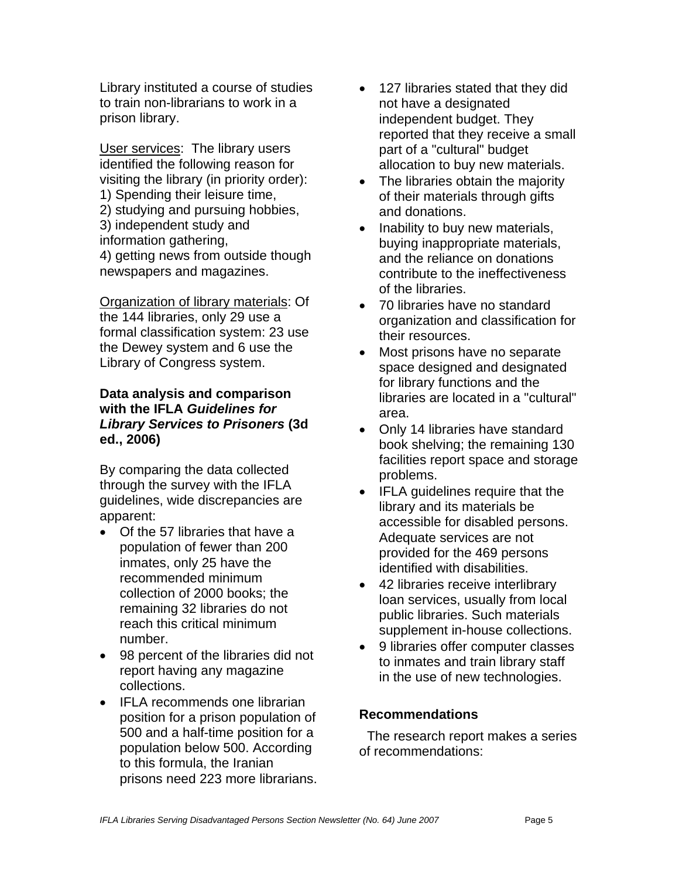Library instituted a course of studies to train non-librarians to work in a prison library.

User services: The library users identified the following reason for visiting the library (in priority order): 1) Spending their leisure time, 2) studying and pursuing hobbies, 3) independent study and information gathering, 4) getting news from outside though newspapers and magazines.

Organization of library materials: Of the 144 libraries, only 29 use a formal classification system: 23 use the Dewey system and 6 use the Library of Congress system.

# **Data analysis and comparison with the IFLA** *Guidelines for Library Services to Prisoners* **(3d ed., 2006)**

By comparing the data collected through the survey with the IFLA guidelines, wide discrepancies are apparent:

- Of the 57 libraries that have a population of fewer than 200 inmates, only 25 have the recommended minimum collection of 2000 books; the remaining 32 libraries do not reach this critical minimum number.
- 98 percent of the libraries did not report having any magazine collections.
- IFLA recommends one librarian position for a prison population of 500 and a half-time position for a population below 500. According to this formula, the Iranian prisons need 223 more librarians.
- 127 libraries stated that they did not have a designated independent budget. They reported that they receive a small part of a "cultural" budget allocation to buy new materials.
- The libraries obtain the majority of their materials through gifts and donations.
- Inability to buy new materials, buying inappropriate materials, and the reliance on donations contribute to the ineffectiveness of the libraries.
- 70 libraries have no standard organization and classification for their resources.
- Most prisons have no separate space designed and designated for library functions and the libraries are located in a "cultural" area.
- Only 14 libraries have standard book shelving; the remaining 130 facilities report space and storage problems.
- IFLA guidelines require that the library and its materials be accessible for disabled persons. Adequate services are not provided for the 469 persons identified with disabilities.
- 42 libraries receive interlibrary loan services, usually from local public libraries. Such materials supplement in-house collections.
- 9 libraries offer computer classes to inmates and train library staff in the use of new technologies.

# **Recommendations**

 The research report makes a series of recommendations: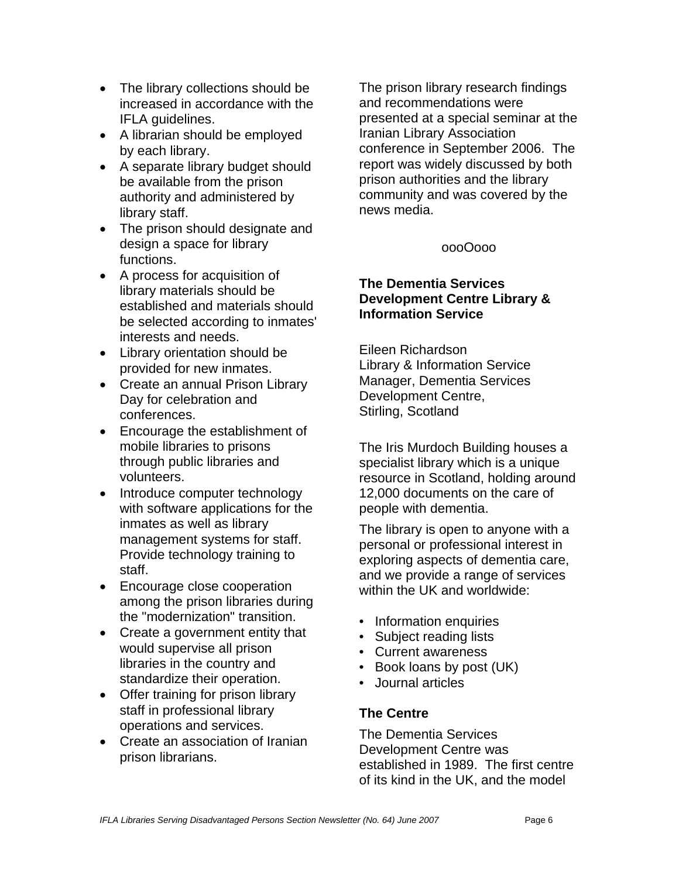- The library collections should be increased in accordance with the IFLA guidelines.
- A librarian should be employed by each library.
- A separate library budget should be available from the prison authority and administered by library staff.
- The prison should designate and design a space for library functions.
- A process for acquisition of library materials should be established and materials should be selected according to inmates' interests and needs.
- Library orientation should be provided for new inmates.
- Create an annual Prison Library Day for celebration and conferences.
- Encourage the establishment of mobile libraries to prisons through public libraries and volunteers.
- Introduce computer technology with software applications for the inmates as well as library management systems for staff. Provide technology training to staff.
- Encourage close cooperation among the prison libraries during the "modernization" transition.
- Create a government entity that would supervise all prison libraries in the country and standardize their operation.
- Offer training for prison library staff in professional library operations and services.
- Create an association of Iranian prison librarians.

The prison library research findings and recommendations were presented at a special seminar at the Iranian Library Association conference in September 2006. The report was widely discussed by both prison authorities and the library community and was covered by the news media.

# oooOooo

#### **The Dementia Services Development Centre Library & Information Service**

Eileen Richardson Library & Information Service Manager, Dementia Services Development Centre, Stirling, Scotland

The Iris Murdoch Building houses a specialist library which is a unique resource in Scotland, holding around 12,000 documents on the care of people with dementia.

The library is open to anyone with a personal or professional interest in exploring aspects of dementia care, and we provide a range of services within the UK and worldwide:

- Information enquiries
- Subject reading lists
- Current awareness
- Book loans by post (UK)
- Journal articles

#### **The Centre**

The Dementia Services Development Centre was established in 1989. The first centre of its kind in the UK, and the model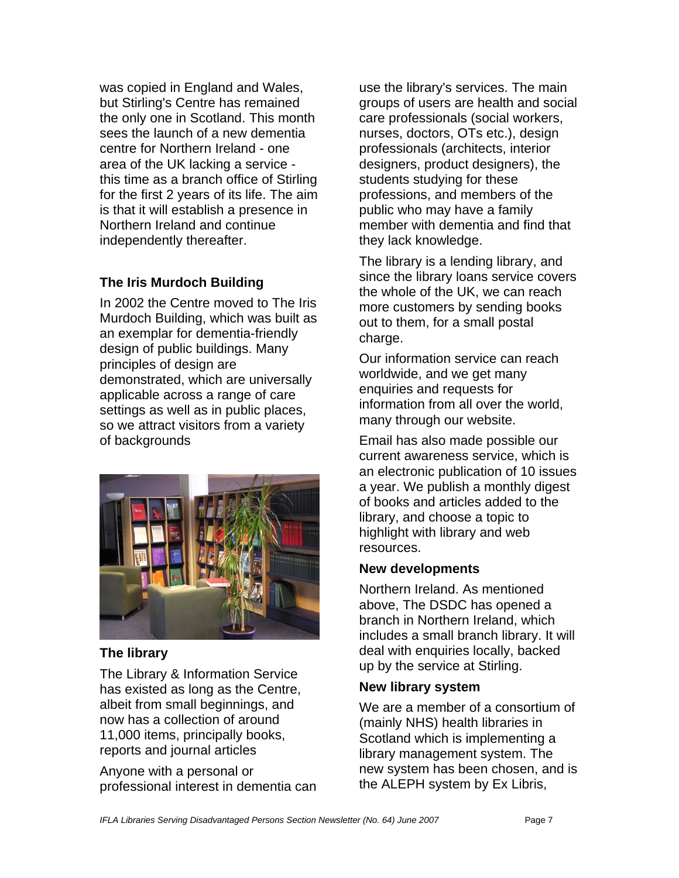was copied in England and Wales, but Stirling's Centre has remained the only one in Scotland. This month sees the launch of a new dementia centre for Northern Ireland - one area of the UK lacking a service this time as a branch office of Stirling for the first 2 years of its life. The aim is that it will establish a presence in Northern Ireland and continue independently thereafter.

# **The Iris Murdoch Building**

In 2002 the Centre moved to The Iris Murdoch Building, which was built as an exemplar for dementia-friendly design of public buildings. Many principles of design are demonstrated, which are universally applicable across a range of care settings as well as in public places, so we attract visitors from a variety of backgrounds



# **The library**

The Library & Information Service has existed as long as the Centre, albeit from small beginnings, and now has a collection of around 11,000 items, principally books, reports and journal articles

Anyone with a personal or professional interest in dementia can use the library's services. The main groups of users are health and social care professionals (social workers, nurses, doctors, OTs etc.), design professionals (architects, interior designers, product designers), the students studying for these professions, and members of the public who may have a family member with dementia and find that they lack knowledge.

The library is a lending library, and since the library loans service covers the whole of the UK, we can reach more customers by sending books out to them, for a small postal charge.

Our information service can reach worldwide, and we get many enquiries and requests for information from all over the world, many through our website.

Email has also made possible our current awareness service, which is an electronic publication of 10 issues a year. We publish a monthly digest of books and articles added to the library, and choose a topic to highlight with library and web resources.

#### **New developments**

Northern Ireland. As mentioned above, The DSDC has opened a branch in Northern Ireland, which includes a small branch library. It will deal with enquiries locally, backed up by the service at Stirling.

# **New library system**

We are a member of a consortium of (mainly NHS) health libraries in Scotland which is implementing a library management system. The new system has been chosen, and is the ALEPH system by Ex Libris,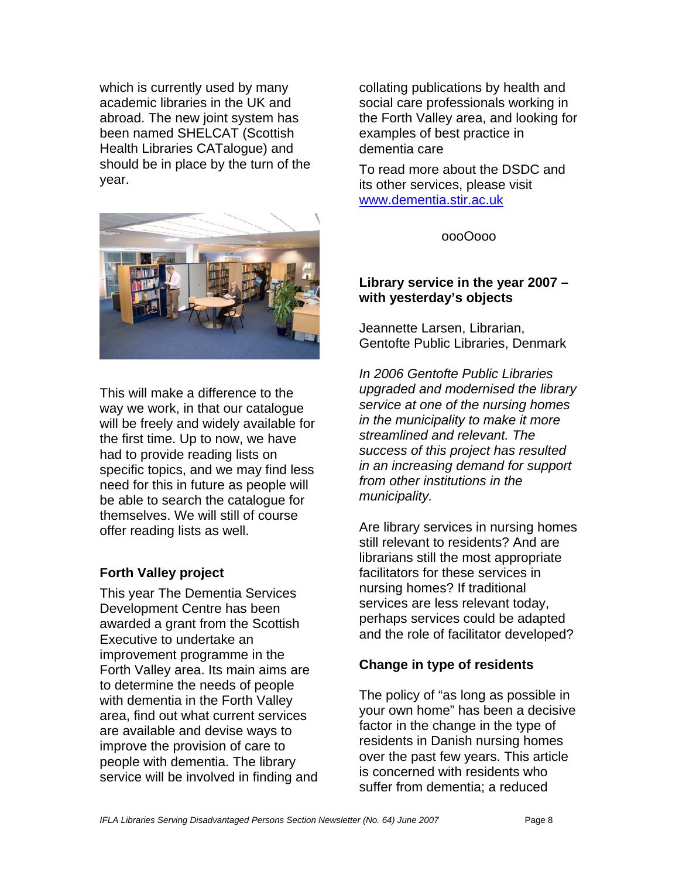which is currently used by many academic libraries in the UK and abroad. The new joint system has been named SHELCAT (Scottish Health Libraries CATalogue) and should be in place by the turn of the year.



This will make a difference to the way we work, in that our catalogue will be freely and widely available for the first time. Up to now, we have had to provide reading lists on specific topics, and we may find less need for this in future as people will be able to search the catalogue for themselves. We will still of course offer reading lists as well.

#### **Forth Valley project**

This year The Dementia Services Development Centre has been awarded a grant from the Scottish Executive to undertake an improvement programme in the Forth Valley area. Its main aims are to determine the needs of people with dementia in the Forth Valley area, find out what current services are available and devise ways to improve the provision of care to people with dementia. The library service will be involved in finding and collating publications by health and social care professionals working in the Forth Valley area, and looking for examples of best practice in dementia care

To read more about the DSDC and its other services, please visit www.dementia.stir.ac.uk

oooOooo

#### **Library service in the year 2007 – with yesterday's objects**

Jeannette Larsen, Librarian, Gentofte Public Libraries, Denmark

*In 2006 Gentofte Public Libraries upgraded and modernised the library service at one of the nursing homes in the municipality to make it more streamlined and relevant. The success of this project has resulted in an increasing demand for support from other institutions in the municipality.* 

Are library services in nursing homes still relevant to residents? And are librarians still the most appropriate facilitators for these services in nursing homes? If traditional services are less relevant today, perhaps services could be adapted and the role of facilitator developed?

#### **Change in type of residents**

The policy of "as long as possible in your own home" has been a decisive factor in the change in the type of residents in Danish nursing homes over the past few years. This article is concerned with residents who suffer from dementia; a reduced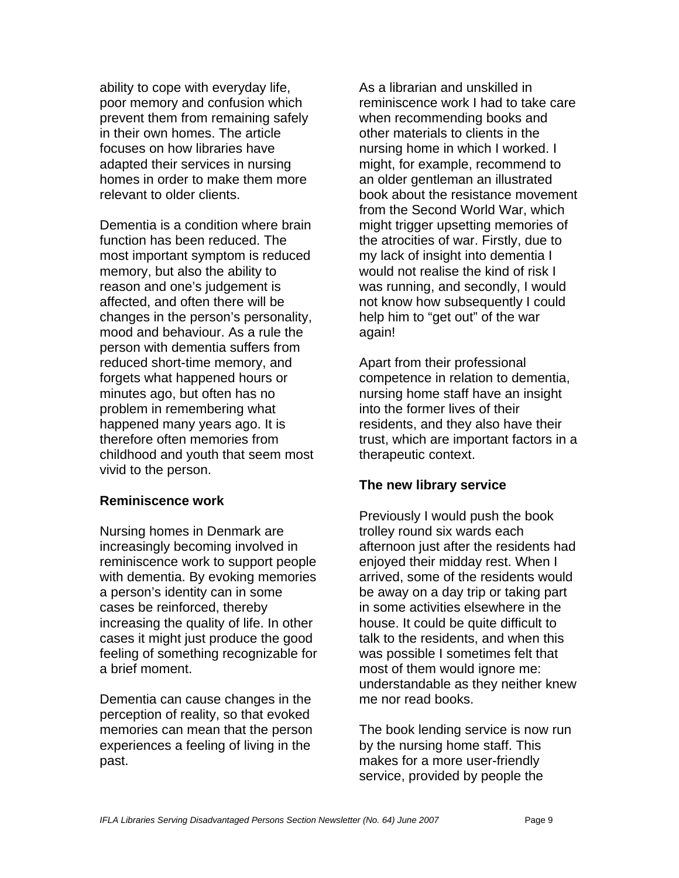ability to cope with everyday life, poor memory and confusion which prevent them from remaining safely in their own homes. The article focuses on how libraries have adapted their services in nursing homes in order to make them more relevant to older clients.

Dementia is a condition where brain function has been reduced. The most important symptom is reduced memory, but also the ability to reason and one's judgement is affected, and often there will be changes in the person's personality, mood and behaviour. As a rule the person with dementia suffers from reduced short-time memory, and forgets what happened hours or minutes ago, but often has no problem in remembering what happened many years ago. It is therefore often memories from childhood and youth that seem most vivid to the person.

#### **Reminiscence work**

Nursing homes in Denmark are increasingly becoming involved in reminiscence work to support people with dementia. By evoking memories a person's identity can in some cases be reinforced, thereby increasing the quality of life. In other cases it might just produce the good feeling of something recognizable for a brief moment.

Dementia can cause changes in the perception of reality, so that evoked memories can mean that the person experiences a feeling of living in the past.

As a librarian and unskilled in reminiscence work I had to take care when recommending books and other materials to clients in the nursing home in which I worked. I might, for example, recommend to an older gentleman an illustrated book about the resistance movement from the Second World War, which might trigger upsetting memories of the atrocities of war. Firstly, due to my lack of insight into dementia I would not realise the kind of risk I was running, and secondly, I would not know how subsequently I could help him to "get out" of the war again!

Apart from their professional competence in relation to dementia, nursing home staff have an insight into the former lives of their residents, and they also have their trust, which are important factors in a therapeutic context.

#### **The new library service**

Previously I would push the book trolley round six wards each afternoon just after the residents had enjoyed their midday rest. When I arrived, some of the residents would be away on a day trip or taking part in some activities elsewhere in the house. It could be quite difficult to talk to the residents, and when this was possible I sometimes felt that most of them would ignore me: understandable as they neither knew me nor read books.

The book lending service is now run by the nursing home staff. This makes for a more user-friendly service, provided by people the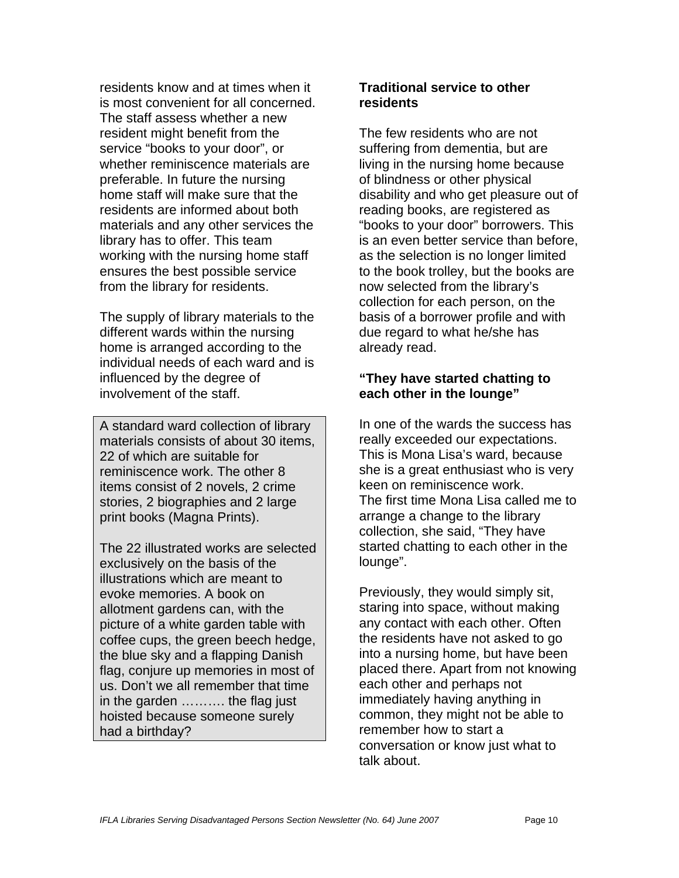residents know and at times when it is most convenient for all concerned. The staff assess whether a new resident might benefit from the service "books to your door", or whether reminiscence materials are preferable. In future the nursing home staff will make sure that the residents are informed about both materials and any other services the library has to offer. This team working with the nursing home staff ensures the best possible service from the library for residents.

The supply of library materials to the different wards within the nursing home is arranged according to the individual needs of each ward and is influenced by the degree of involvement of the staff.

A standard ward collection of library materials consists of about 30 items, 22 of which are suitable for reminiscence work. The other 8 items consist of 2 novels, 2 crime stories, 2 biographies and 2 large print books (Magna Prints).

The 22 illustrated works are selected exclusively on the basis of the illustrations which are meant to evoke memories. A book on allotment gardens can, with the picture of a white garden table with coffee cups, the green beech hedge, the blue sky and a flapping Danish flag, conjure up memories in most of us. Don't we all remember that time in the garden ………. the flag just hoisted because someone surely had a birthday?

#### **Traditional service to other residents**

The few residents who are not suffering from dementia, but are living in the nursing home because of blindness or other physical disability and who get pleasure out of reading books, are registered as "books to your door" borrowers. This is an even better service than before, as the selection is no longer limited to the book trolley, but the books are now selected from the library's collection for each person, on the basis of a borrower profile and with due regard to what he/she has already read.

# **"They have started chatting to each other in the lounge"**

In one of the wards the success has really exceeded our expectations. This is Mona Lisa's ward, because she is a great enthusiast who is very keen on reminiscence work. The first time Mona Lisa called me to arrange a change to the library collection, she said, "They have started chatting to each other in the lounge".

Previously, they would simply sit, staring into space, without making any contact with each other. Often the residents have not asked to go into a nursing home, but have been placed there. Apart from not knowing each other and perhaps not immediately having anything in common, they might not be able to remember how to start a conversation or know just what to talk about.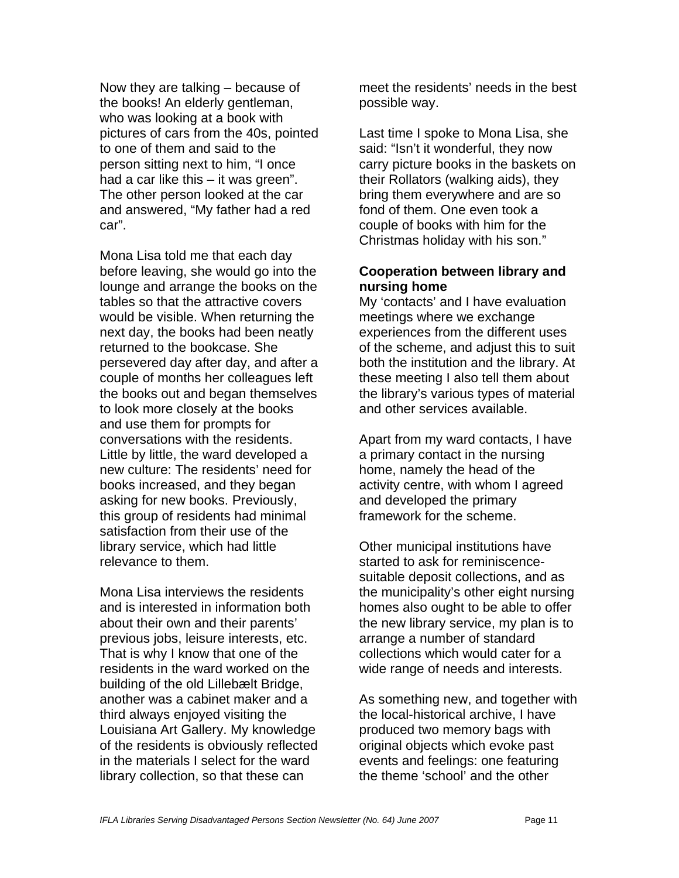Now they are talking – because of the books! An elderly gentleman, who was looking at a book with pictures of cars from the 40s, pointed to one of them and said to the person sitting next to him, "I once had a car like this – it was green". The other person looked at the car and answered, "My father had a red car".

Mona Lisa told me that each day before leaving, she would go into the lounge and arrange the books on the tables so that the attractive covers would be visible. When returning the next day, the books had been neatly returned to the bookcase. She persevered day after day, and after a couple of months her colleagues left the books out and began themselves to look more closely at the books and use them for prompts for conversations with the residents. Little by little, the ward developed a new culture: The residents' need for books increased, and they began asking for new books. Previously, this group of residents had minimal satisfaction from their use of the library service, which had little relevance to them.

Mona Lisa interviews the residents and is interested in information both about their own and their parents' previous jobs, leisure interests, etc. That is why I know that one of the residents in the ward worked on the building of the old Lillebælt Bridge. another was a cabinet maker and a third always enjoyed visiting the Louisiana Art Gallery. My knowledge of the residents is obviously reflected in the materials I select for the ward library collection, so that these can

meet the residents' needs in the best possible way.

Last time I spoke to Mona Lisa, she said: "Isn't it wonderful, they now carry picture books in the baskets on their Rollators (walking aids), they bring them everywhere and are so fond of them. One even took a couple of books with him for the Christmas holiday with his son."

#### **Cooperation between library and nursing home**

My 'contacts' and I have evaluation meetings where we exchange experiences from the different uses of the scheme, and adjust this to suit both the institution and the library. At these meeting I also tell them about the library's various types of material and other services available.

Apart from my ward contacts, I have a primary contact in the nursing home, namely the head of the activity centre, with whom I agreed and developed the primary framework for the scheme.

Other municipal institutions have started to ask for reminiscencesuitable deposit collections, and as the municipality's other eight nursing homes also ought to be able to offer the new library service, my plan is to arrange a number of standard collections which would cater for a wide range of needs and interests.

As something new, and together with the local-historical archive, I have produced two memory bags with original objects which evoke past events and feelings: one featuring the theme 'school' and the other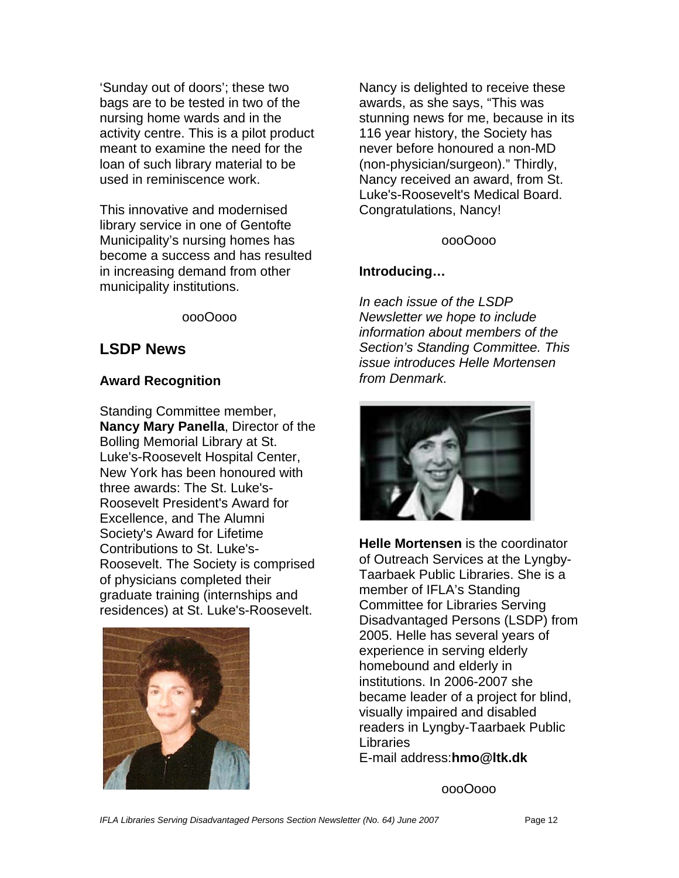'Sunday out of doors'; these two bags are to be tested in two of the nursing home wards and in the activity centre. This is a pilot product meant to examine the need for the loan of such library material to be used in reminiscence work.

This innovative and modernised library service in one of Gentofte Municipality's nursing homes has become a success and has resulted in increasing demand from other municipality institutions.

oooOooo

# **LSDP News**

# **Award Recognition**

Standing Committee member, **Nancy Mary Panella**, Director of the Bolling Memorial Library at St. Luke's-Roosevelt Hospital Center, New York has been honoured with three awards: The St. Luke's-Roosevelt President's Award for Excellence, and The Alumni Society's Award for Lifetime Contributions to St. Luke's-Roosevelt. The Society is comprised of physicians completed their graduate training (internships and residences) at St. Luke's-Roosevelt.



Nancy is delighted to receive these awards, as she says, "This was stunning news for me, because in its 116 year history, the Society has never before honoured a non-MD (non-physician/surgeon)." Thirdly, Nancy received an award, from St. Luke's-Roosevelt's Medical Board. Congratulations, Nancy!

# oooOooo

# **Introducing…**

*In each issue of the LSDP Newsletter we hope to include information about members of the Section's Standing Committee. This issue introduces Helle Mortensen from Denmark.* 



**Helle Mortensen** is the coordinator of Outreach Services at the Lyngby-Taarbaek Public Libraries. She is a member of IFLA's Standing Committee for Libraries Serving Disadvantaged Persons (LSDP) from 2005. Helle has several years of experience in serving elderly homebound and elderly in institutions. In 2006-2007 she became leader of a project for blind, visually impaired and disabled readers in Lyngby-Taarbaek Public Libraries E-mail address:**hmo@ltk.dk** 

oooOooo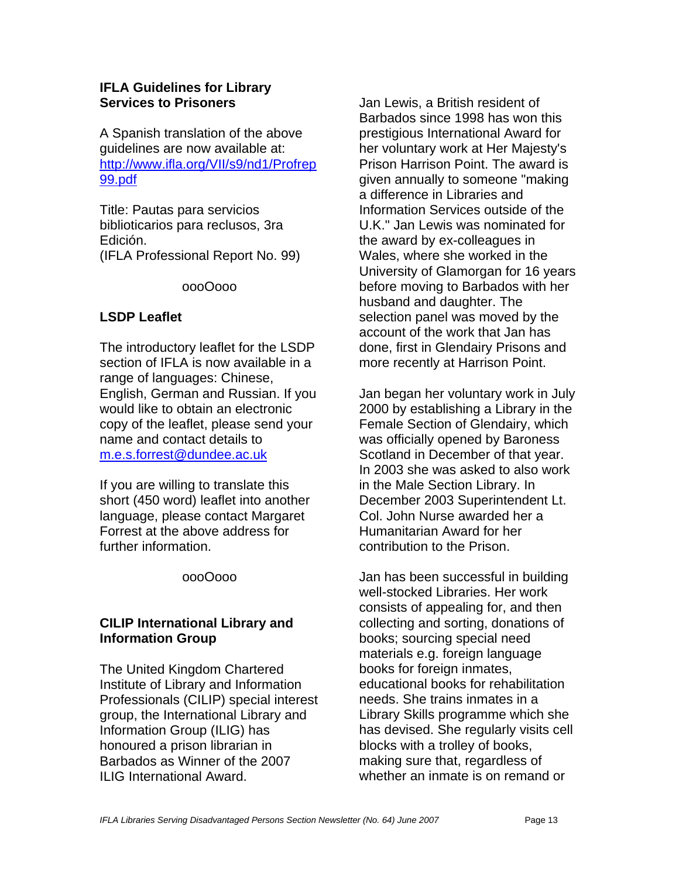#### **IFLA Guidelines for Library Services to Prisoners**

A Spanish translation of the above guidelines are now available at: http://www.ifla.org/VII/s9/nd1/Profrep 99.pdf

Title: Pautas para servicios biblioticarios para reclusos, 3ra Edición. (IFLA Professional Report No. 99)

oooOooo

# **LSDP Leaflet**

The introductory leaflet for the LSDP section of IFLA is now available in a range of languages: Chinese, English, German and Russian. If you would like to obtain an electronic copy of the leaflet, please send your name and contact details to m.e.s.forrest@dundee.ac.uk

If you are willing to translate this short (450 word) leaflet into another language, please contact Margaret Forrest at the above address for further information.

oooOooo

# **CILIP International Library and Information Group**

The United Kingdom Chartered Institute of Library and Information Professionals (CILIP) special interest group, the International Library and Information Group (ILIG) has honoured a prison librarian in Barbados as Winner of the 2007 ILIG International Award.

Jan Lewis, a British resident of Barbados since 1998 has won this prestigious International Award for her voluntary work at Her Majesty's Prison Harrison Point. The award is given annually to someone "making a difference in Libraries and Information Services outside of the U.K." Jan Lewis was nominated for the award by ex-colleagues in Wales, where she worked in the University of Glamorgan for 16 years before moving to Barbados with her husband and daughter. The selection panel was moved by the account of the work that Jan has done, first in Glendairy Prisons and more recently at Harrison Point.

Jan began her voluntary work in July 2000 by establishing a Library in the Female Section of Glendairy, which was officially opened by Baroness Scotland in December of that year. In 2003 she was asked to also work in the Male Section Library. In December 2003 Superintendent Lt. Col. John Nurse awarded her a Humanitarian Award for her contribution to the Prison.

Jan has been successful in building well-stocked Libraries. Her work consists of appealing for, and then collecting and sorting, donations of books; sourcing special need materials e.g. foreign language books for foreign inmates, educational books for rehabilitation needs. She trains inmates in a Library Skills programme which she has devised. She regularly visits cell blocks with a trolley of books, making sure that, regardless of whether an inmate is on remand or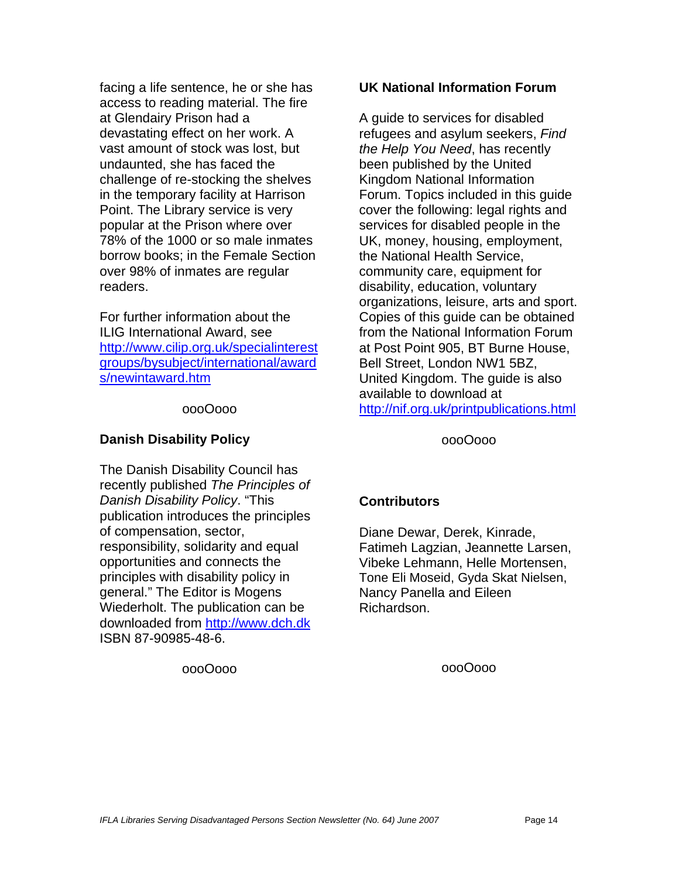facing a life sentence, he or she has access to reading material. The fire at Glendairy Prison had a devastating effect on her work. A vast amount of stock was lost, but undaunted, she has faced the challenge of re-stocking the shelves in the temporary facility at Harrison Point. The Library service is very popular at the Prison where over 78% of the 1000 or so male inmates borrow books; in the Female Section over 98% of inmates are regular readers.

For further information about the ILIG International Award, see http://www.cilip.org.uk/specialinterest groups/bysubject/international/award s/newintaward.htm

#### oooOooo

#### **Danish Disability Policy**

The Danish Disability Council has recently published *The Principles of Danish Disability Policy*. "This publication introduces the principles of compensation, sector, responsibility, solidarity and equal opportunities and connects the principles with disability policy in general." The Editor is Mogens Wiederholt. The publication can be downloaded from http://www.dch.dk ISBN 87-90985-48-6.

oooOooo

#### **UK National Information Forum**

A guide to services for disabled refugees and asylum seekers, *Find the Help You Need*, has recently been published by the United Kingdom National Information Forum. Topics included in this guide cover the following: legal rights and services for disabled people in the UK, money, housing, employment, the National Health Service, community care, equipment for disability, education, voluntary organizations, leisure, arts and sport. Copies of this guide can be obtained from the National Information Forum at Post Point 905, BT Burne House, Bell Street, London NW1 5BZ, United Kingdom. The guide is also available to download at http://nif.org.uk/printpublications.html

oooOooo

#### **Contributors**

Diane Dewar, Derek, Kinrade, Fatimeh Lagzian, Jeannette Larsen, Vibeke Lehmann, Helle Mortensen, Tone Eli Moseid, Gyda Skat Nielsen, Nancy Panella and Eileen Richardson.

oooOooo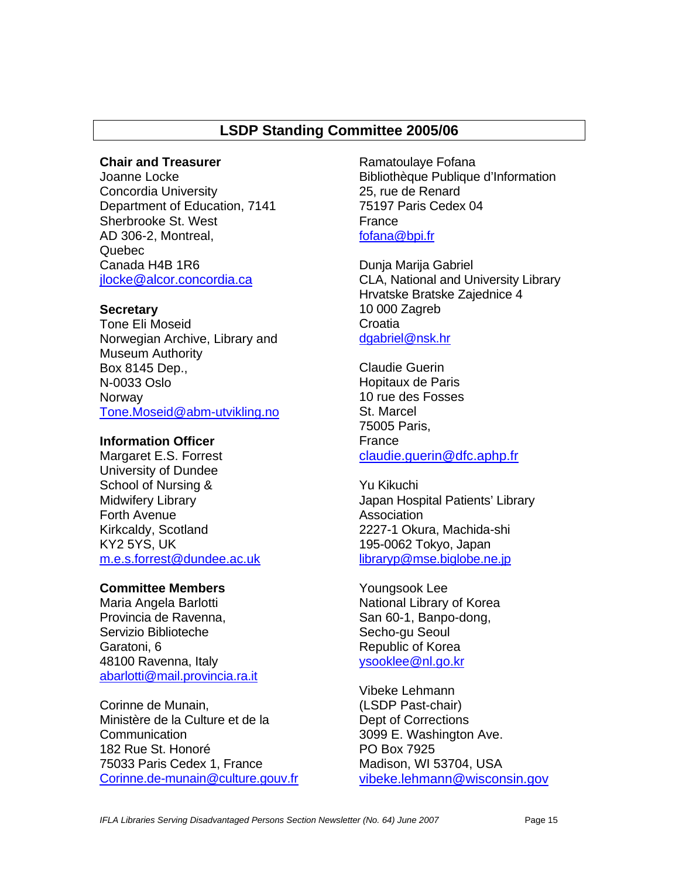# **LSDP Standing Committee 2005/06**

#### **Chair and Treasurer**

Joanne Locke Concordia University Department of Education, 7141 Sherbrooke St. West AD 306-2, Montreal, Quebec Canada H4B 1R6 jlocke@alcor.concordia.ca

#### **Secretary**

Tone Eli Moseid Norwegian Archive, Library and Museum Authority Box 8145 Dep., N-0033 Oslo **Norway** Tone.Moseid@abm-utvikling.no

#### **Information Officer**

Margaret E.S. Forrest University of Dundee School of Nursing & Midwifery Library Forth Avenue Kirkcaldy, Scotland KY2 5YS, UK m.e.s.forrest@dundee.ac.uk

#### **Committee Members**

Maria Angela Barlotti Provincia de Ravenna, Servizio Biblioteche Garatoni, 6 48100 Ravenna, Italy abarlotti@mail.provincia.ra.it

Corinne de Munain, Ministère de la Culture et de la Communication 182 Rue St. Honoré 75033 Paris Cedex 1, France Corinne.de-munain@culture.gouv.fr

Ramatoulaye Fofana Bibliothèque Publique d'Information 25, rue de Renard 75197 Paris Cedex 04 France fofana@bpi.fr

Dunja Marija Gabriel CLA, National and University Library Hrvatske Bratske Zajednice 4 10 000 Zagreb **Croatia** dgabriel@nsk.hr

Claudie Guerin Hopitaux de Paris 10 rue des Fosses St. Marcel 75005 Paris, France claudie.guerin@dfc.aphp.fr

Yu Kikuchi Japan Hospital Patients' Library Association 2227-1 Okura, Machida-shi 195-0062 Tokyo, Japan libraryp@mse.biglobe.ne.jp

Youngsook Lee National Library of Korea San 60-1, Banpo-dong, Secho-gu Seoul Republic of Korea ysooklee@nl.go.kr

Vibeke Lehmann (LSDP Past-chair) Dept of Corrections 3099 E. Washington Ave. PO Box 7925 Madison, WI 53704, USA vibeke.lehmann@wisconsin.gov